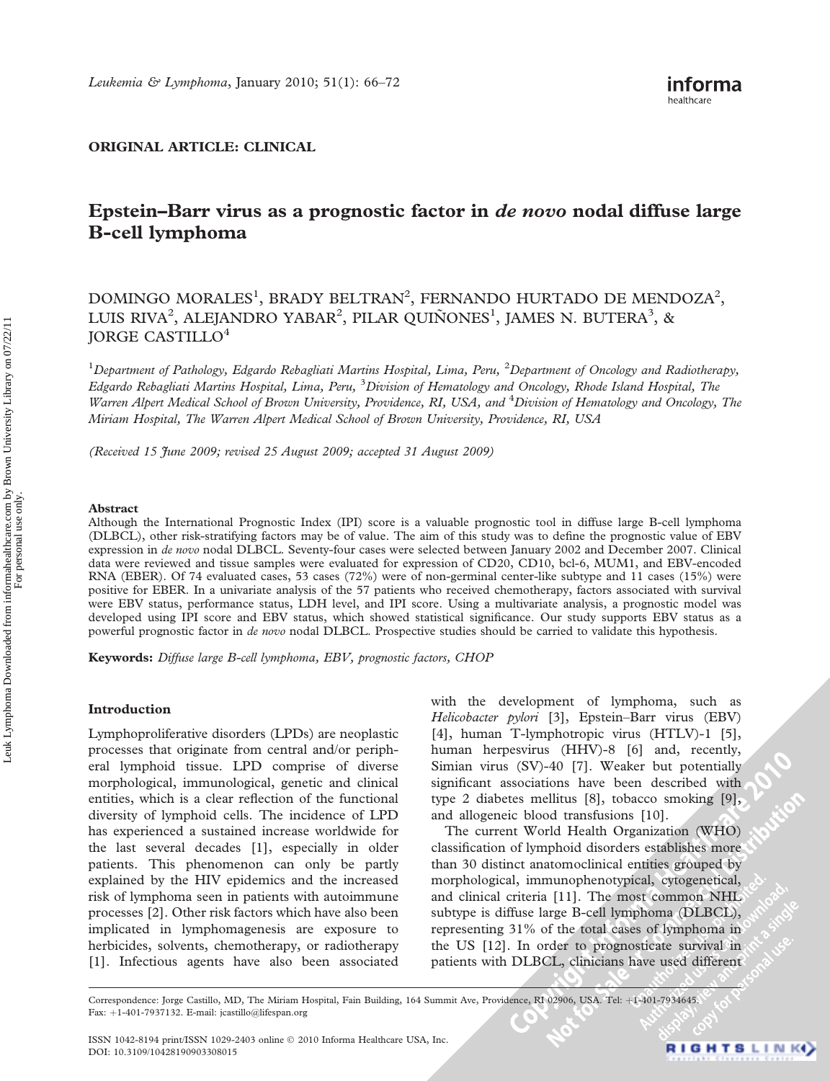## ORIGINAL ARTICLE: CLINICAL

# Epstein–Barr virus as a prognostic factor in de novo nodal diffuse large B-cell lymphoma

# DOMINGO MORALES<sup>1</sup>, BRADY BELTRAN<sup>2</sup>, FERNANDO HURTADO DE MENDOZA<sup>2</sup>, LUIS RIVA<sup>2</sup>, ALEJANDRO YABAR<sup>2</sup>, PILAR QUIÑONES<sup>1</sup>, JAMES N. BUTERA<sup>3</sup>, & JORGE CASTILLO4

<sup>1</sup>Department of Pathology, Edgardo Rebagliati Martins Hospital, Lima, Peru, <sup>2</sup>Department of Oncology and Radiotherapy, Edgardo Rebagliati Martins Hospital, Lima, Peru, <sup>3</sup>Division of Hematology and Oncology, Rhode Island Hospital, The Warren Alpert Medical School of Brown University, Providence, RI, USA, and <sup>4</sup>Division of Hematology and Oncology, The Miriam Hospital, The Warren Alpert Medical School of Brown University, Providence, RI, USA

(Received 15 June 2009; revised 25 August 2009; accepted 31 August 2009)

#### Abstract

Although the International Prognostic Index (IPI) score is a valuable prognostic tool in diffuse large B-cell lymphoma (DLBCL), other risk-stratifying factors may be of value. The aim of this study was to define the prognostic value of EBV expression in de novo nodal DLBCL. Seventy-four cases were selected between January 2002 and December 2007. Clinical data were reviewed and tissue samples were evaluated for expression of CD20, CD10, bcl-6, MUM1, and EBV-encoded RNA (EBER). Of 74 evaluated cases, 53 cases (72%) were of non-germinal center-like subtype and 11 cases (15%) were positive for EBER. In a univariate analysis of the 57 patients who received chemotherapy, factors associated with survival were EBV status, performance status, LDH level, and IPI score. Using a multivariate analysis, a prognostic model was developed using IPI score and EBV status, which showed statistical significance. Our study supports EBV status as a powerful prognostic factor in de novo nodal DLBCL. Prospective studies should be carried to validate this hypothesis.

Keywords: Diffuse large B-cell lymphoma, EBV, prognostic factors, CHOP

### Introduction

Lymphoproliferative disorders (LPDs) are neoplastic processes that originate from central and/or peripheral lymphoid tissue. LPD comprise of diverse morphological, immunological, genetic and clinical entities, which is a clear reflection of the functional diversity of lymphoid cells. The incidence of LPD has experienced a sustained increase worldwide for the last several decades [1], especially in older patients. This phenomenon can only be partly explained by the HIV epidemics and the increased risk of lymphoma seen in patients with autoimmune processes [2]. Other risk factors which have also been implicated in lymphomagenesis are exposure to herbicides, solvents, chemotherapy, or radiotherapy [1]. Infectious agents have also been associated with the development of lymphoma, such as Helicobacter pylori [3], Epstein-Barr virus (EBV) [4], human T-lymphotropic virus (HTLV)-1 [5], human herpesvirus (HHV)-8 [6] and, recently, Simian virus (SV)-40 [7]. Weaker but potentially significant associations have been described with type 2 diabetes mellitus [8], tobacco smoking [9], and allogeneic blood transfusions [10].

The current World Health Organization (WHO) classification of lymphoid disorders establishes more than 30 distinct anatomoclinical entities grouped by morphological, immunophenotypical, cytogenetical, and clinical criteria [11]. The most common NHL subtype is diffuse large B-cell lymphoma (DLBCL), representing 31% of the total cases of lymphoma in the US [12]. In order to prognosticate survival in patients with DLBCL, clinicians have used different

Correspondence: Jorge Castillo, MD, The Miriam Hospital, Fain Building, 164 Summit Ave, Providence, RI 02906, USA. Tel: +1-401-7934645. Fax: +1-401-7937132. E-mail: jcastillo@lifespan.org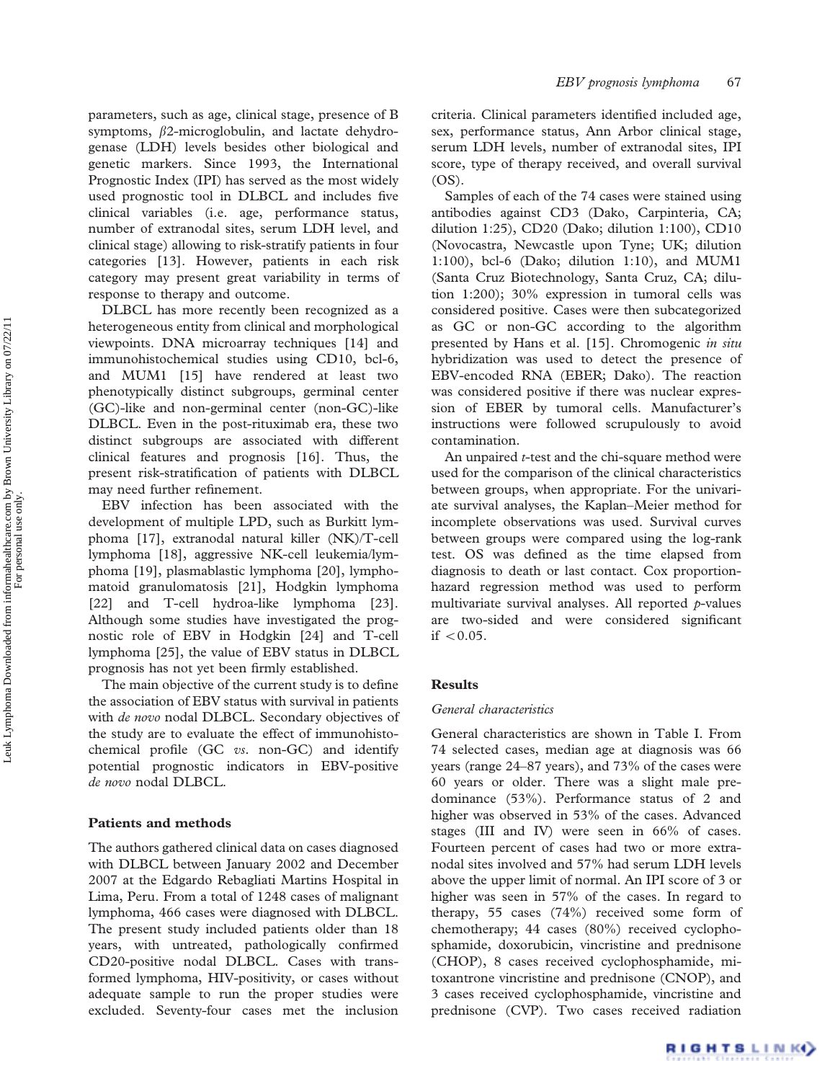parameters, such as age, clinical stage, presence of B symptoms,  $\beta$ 2-microglobulin, and lactate dehydrogenase (LDH) levels besides other biological and genetic markers. Since 1993, the International Prognostic Index (IPI) has served as the most widely used prognostic tool in DLBCL and includes five clinical variables (i.e. age, performance status, number of extranodal sites, serum LDH level, and clinical stage) allowing to risk-stratify patients in four categories [13]. However, patients in each risk category may present great variability in terms of response to therapy and outcome.

DLBCL has more recently been recognized as a heterogeneous entity from clinical and morphological viewpoints. DNA microarray techniques [14] and immunohistochemical studies using CD10, bcl-6, and MUM1 [15] have rendered at least two phenotypically distinct subgroups, germinal center (GC)-like and non-germinal center (non-GC)-like DLBCL. Even in the post-rituximab era, these two distinct subgroups are associated with different clinical features and prognosis [16]. Thus, the present risk-stratification of patients with DLBCL may need further refinement.

EBV infection has been associated with the development of multiple LPD, such as Burkitt lymphoma [17], extranodal natural killer (NK)/T-cell lymphoma [18], aggressive NK-cell leukemia/lymphoma [19], plasmablastic lymphoma [20], lymphomatoid granulomatosis [21], Hodgkin lymphoma [22] and T-cell hydroa-like lymphoma [23]. Although some studies have investigated the prognostic role of EBV in Hodgkin [24] and T-cell lymphoma [25], the value of EBV status in DLBCL prognosis has not yet been firmly established.

The main objective of the current study is to define the association of EBV status with survival in patients with *de novo* nodal DLBCL. Secondary objectives of the study are to evaluate the effect of immunohistochemical profile (GC vs. non-GC) and identify potential prognostic indicators in EBV-positive de novo nodal DLBCL.

## Patients and methods

The authors gathered clinical data on cases diagnosed with DLBCL between January 2002 and December 2007 at the Edgardo Rebagliati Martins Hospital in Lima, Peru. From a total of 1248 cases of malignant lymphoma, 466 cases were diagnosed with DLBCL. The present study included patients older than 18 years, with untreated, pathologically confirmed CD20-positive nodal DLBCL. Cases with transformed lymphoma, HIV-positivity, or cases without adequate sample to run the proper studies were excluded. Seventy-four cases met the inclusion criteria. Clinical parameters identified included age, sex, performance status, Ann Arbor clinical stage, serum LDH levels, number of extranodal sites, IPI score, type of therapy received, and overall survival (OS).

Samples of each of the 74 cases were stained using antibodies against CD3 (Dako, Carpinteria, CA; dilution 1:25), CD20 (Dako; dilution 1:100), CD10 (Novocastra, Newcastle upon Tyne; UK; dilution 1:100), bcl-6 (Dako; dilution 1:10), and MUM1 (Santa Cruz Biotechnology, Santa Cruz, CA; dilution 1:200); 30% expression in tumoral cells was considered positive. Cases were then subcategorized as GC or non-GC according to the algorithm presented by Hans et al. [15]. Chromogenic in situ hybridization was used to detect the presence of EBV-encoded RNA (EBER; Dako). The reaction was considered positive if there was nuclear expression of EBER by tumoral cells. Manufacturer's instructions were followed scrupulously to avoid contamination.

An unpaired *t*-test and the chi-square method were used for the comparison of the clinical characteristics between groups, when appropriate. For the univariate survival analyses, the Kaplan–Meier method for incomplete observations was used. Survival curves between groups were compared using the log-rank test. OS was defined as the time elapsed from diagnosis to death or last contact. Cox proportionhazard regression method was used to perform multivariate survival analyses. All reported  $p$ -values are two-sided and were considered significant if  $< 0.05$ .

## Results

#### General characteristics

General characteristics are shown in Table I. From 74 selected cases, median age at diagnosis was 66 years (range 24–87 years), and 73% of the cases were 60 years or older. There was a slight male predominance (53%). Performance status of 2 and higher was observed in 53% of the cases. Advanced stages (III and IV) were seen in 66% of cases. Fourteen percent of cases had two or more extranodal sites involved and 57% had serum LDH levels above the upper limit of normal. An IPI score of 3 or higher was seen in 57% of the cases. In regard to therapy, 55 cases (74%) received some form of chemotherapy; 44 cases (80%) received cyclophosphamide, doxorubicin, vincristine and prednisone (CHOP), 8 cases received cyclophosphamide, mitoxantrone vincristine and prednisone (CNOP), and 3 cases received cyclophosphamide, vincristine and prednisone (CVP). Two cases received radiation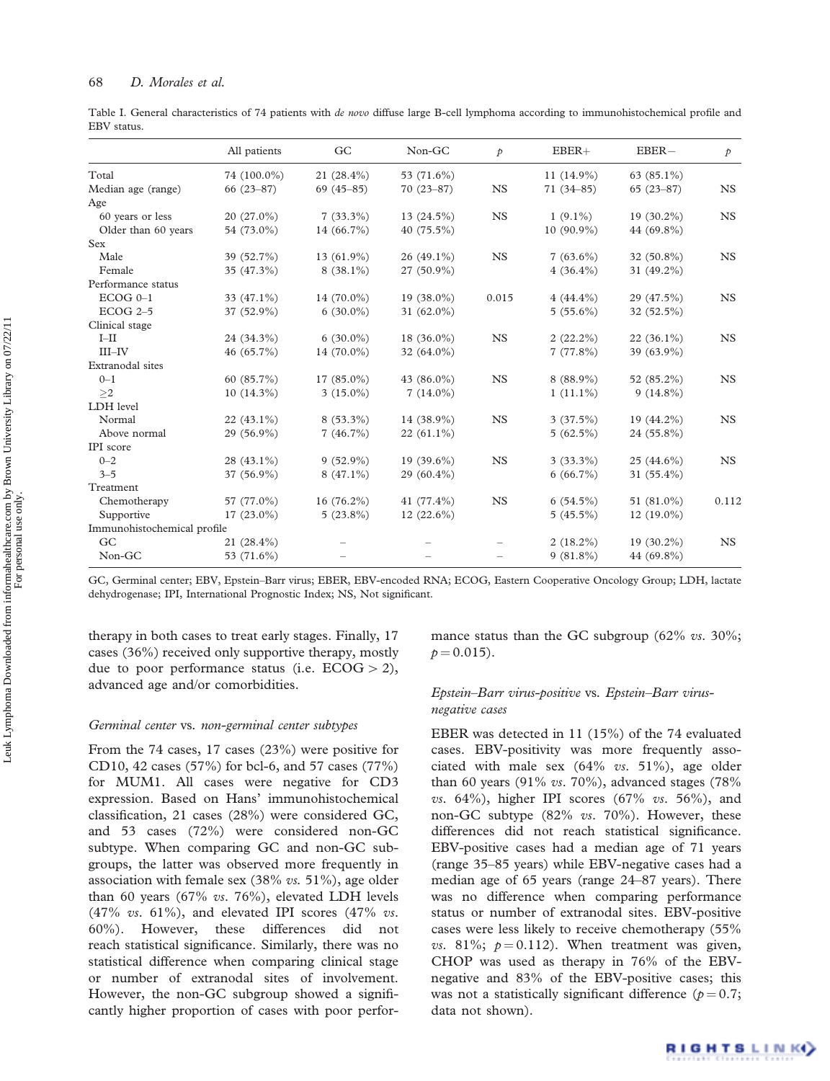Table I. General characteristics of 74 patients with de novo diffuse large B-cell lymphoma according to immunohistochemical profile and EBV status.

|                             | All patients  | GC            | Non-GC        | $\mathcal{D}$ | $EBER+$       | $EBER-$       | $\mathcal{P}$ |
|-----------------------------|---------------|---------------|---------------|---------------|---------------|---------------|---------------|
| Total                       | 74 (100.0%)   | $21(28.4\%)$  | 53 (71.6%)    |               | 11 $(14.9\%)$ | 63 $(85.1\%)$ |               |
| Median age (range)          | $66(23-87)$   | $69(45 - 85)$ | $70(23 - 87)$ | <b>NS</b>     | $71(34 - 85)$ | $65(23-87)$   | <b>NS</b>     |
| Age                         |               |               |               |               |               |               |               |
| 60 years or less            | 20 (27.0%)    | $7(33.3\%)$   | 13 $(24.5\%)$ | <b>NS</b>     | $1(9.1\%)$    | 19 (30.2%)    | <b>NS</b>     |
| Older than 60 years         | 54 (73.0%)    | 14 (66.7%)    | 40 (75.5%)    |               | $10(90.9\%)$  | 44 (69.8%)    |               |
| Sex                         |               |               |               |               |               |               |               |
| Male                        | 39 (52.7%)    | 13 $(61.9\%)$ | $26(49.1\%)$  | <b>NS</b>     | $7(63.6\%)$   | 32 (50.8%)    | <b>NS</b>     |
| Female                      | 35 (47.3%)    | $8(38.1\%)$   | $27(50.9\%)$  |               | $4(36.4\%)$   | 31 (49.2%)    |               |
| Performance status          |               |               |               |               |               |               |               |
| $ECOG 0-1$                  | 33 (47.1%)    | 14 (70.0%)    | 19 (38.0%)    | 0.015         | $4(44.4\%)$   | 29 (47.5%)    | <b>NS</b>     |
| $ECOG 2-5$                  | 37 (52.9%)    | $6(30.0\%)$   | 31 $(62.0\%)$ |               | $5(55.6\%)$   | 32 (52.5%)    |               |
| Clinical stage              |               |               |               |               |               |               |               |
| $I-II$                      | 24 (34.3%)    | $6(30.0\%)$   | 18 $(36.0\%)$ | <b>NS</b>     | $2(22.2\%)$   | $22(36.1\%)$  | <b>NS</b>     |
| $III$ -IV                   | 46 $(65.7\%)$ | 14 (70.0%)    | 32 $(64.0\%)$ |               | $7(77.8\%)$   | 39 (63.9%)    |               |
| Extranodal sites            |               |               |               |               |               |               |               |
| $0 - 1$                     | 60 $(85.7\%)$ | $17(85.0\%)$  | 43 (86.0%)    | <b>NS</b>     | $8(88.9\%)$   | 52 (85.2%)    | <b>NS</b>     |
| >2                          | $10(14.3\%)$  | $3(15.0\%)$   | $7(14.0\%)$   |               | $1(11.1\%)$   | $9(14.8\%)$   |               |
| LDH level                   |               |               |               |               |               |               |               |
| Normal                      | $22(43.1\%)$  | $8(53.3\%)$   | 14 (38.9%)    | <b>NS</b>     | 3(37.5%)      | 19 (44.2%)    | <b>NS</b>     |
| Above normal                | 29 (56.9%)    | $7(46.7\%)$   | $22(61.1\%)$  |               | $5(62.5\%)$   | 24 (55.8%)    |               |
| IPI score                   |               |               |               |               |               |               |               |
| $0 - 2$                     | 28 (43.1%)    | $9(52.9\%)$   | 19 $(39.6\%)$ | <b>NS</b>     | $3(33.3\%)$   | $25(44.6\%)$  | <b>NS</b>     |
| $3 - 5$                     | 37 (56.9%)    | $8(47.1\%)$   | $29(60.4\%)$  |               | $6(66.7\%)$   | $31(55.4\%)$  |               |
| Treatment                   |               |               |               |               |               |               |               |
| Chemotherapy                | 57 (77.0%)    | $16(76.2\%)$  | 41 (77.4%)    | <b>NS</b>     | $6(54.5\%)$   | 51 (81.0%)    | 0.112         |
| Supportive                  | $17(23.0\%)$  | $5(23.8\%)$   | $12(22.6\%)$  |               | $5(45.5\%)$   | $12(19.0\%)$  |               |
| Immunohistochemical profile |               |               |               |               |               |               |               |
| GC                          | $21(28.4\%)$  |               |               |               | $2(18.2\%)$   | $19(30.2\%)$  | <b>NS</b>     |
| Non-GC                      | 53 (71.6%)    |               |               |               | $9(81.8\%)$   | 44 (69.8%)    |               |

GC, Germinal center; EBV, Epstein–Barr virus; EBER, EBV-encoded RNA; ECOG, Eastern Cooperative Oncology Group; LDH, lactate dehydrogenase; IPI, International Prognostic Index; NS, Not significant.

therapy in both cases to treat early stages. Finally, 17 cases (36%) received only supportive therapy, mostly due to poor performance status (i.e.  $ECOG > 2$ ), advanced age and/or comorbidities.

### Germinal center vs. non-germinal center subtypes

From the 74 cases, 17 cases (23%) were positive for CD10, 42 cases (57%) for bcl-6, and 57 cases (77%) for MUM1. All cases were negative for CD3 expression. Based on Hans' immunohistochemical classification, 21 cases (28%) were considered GC, and 53 cases (72%) were considered non-GC subtype. When comparing GC and non-GC subgroups, the latter was observed more frequently in association with female sex (38%  $vs. 51\%$ ), age older than 60 years (67%  $vs.$  76%), elevated LDH levels (47% vs. 61%), and elevated IPI scores (47% vs. 60%). However, these differences did not reach statistical significance. Similarly, there was no statistical difference when comparing clinical stage or number of extranodal sites of involvement. However, the non-GC subgroup showed a significantly higher proportion of cases with poor performance status than the GC subgroup (62% vs. 30%;  $p = 0.015$ .

# Epstein–Barr virus-positive vs. Epstein–Barr virusnegative cases

EBER was detected in 11 (15%) of the 74 evaluated cases. EBV-positivity was more frequently associated with male sex  $(64\% \ vs. 51\%),$  age older than 60 years (91%  $vs.$  70%), advanced stages (78% vs.  $64\%$ ), higher IPI scores  $(67\% \text{ vs. } 56\%)$ , and non-GC subtype (82% vs. 70%). However, these differences did not reach statistical significance. EBV-positive cases had a median age of 71 years (range 35–85 years) while EBV-negative cases had a median age of 65 years (range 24–87 years). There was no difference when comparing performance status or number of extranodal sites. EBV-positive cases were less likely to receive chemotherapy (55% vs. 81%;  $p = 0.112$ ). When treatment was given, CHOP was used as therapy in 76% of the EBVnegative and 83% of the EBV-positive cases; this was not a statistically significant difference ( $p = 0.7$ ; data not shown).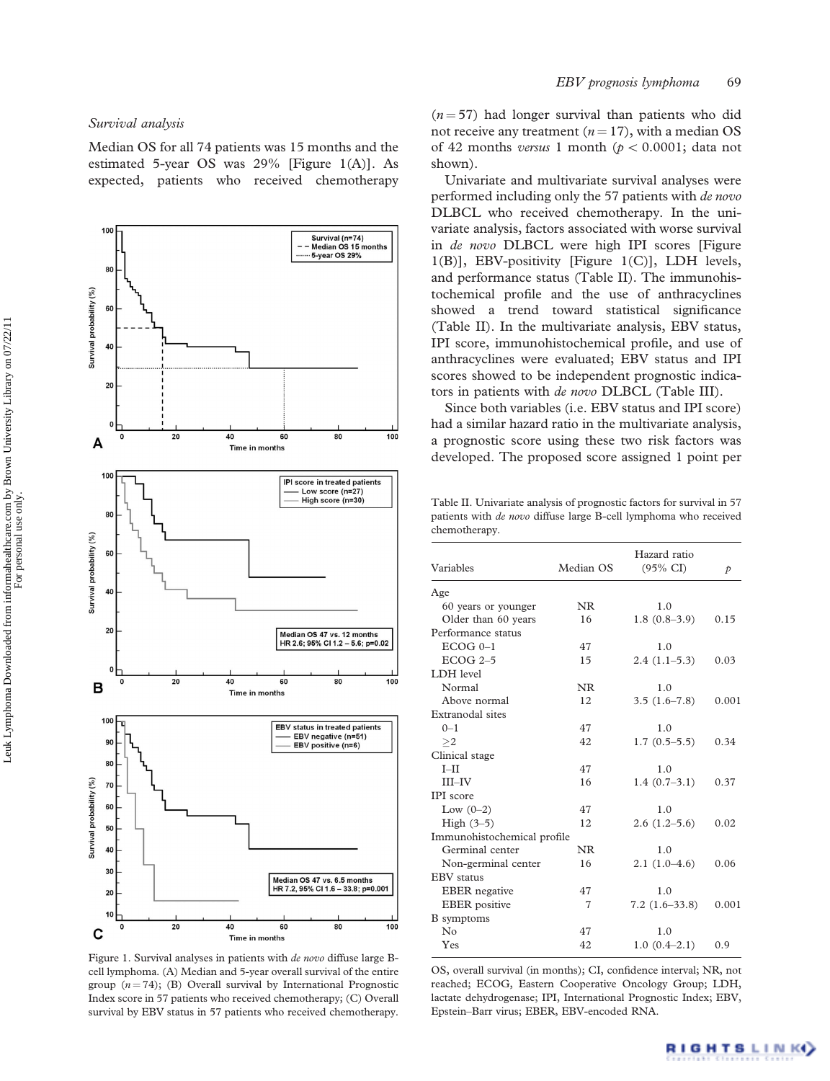## Survival analysis

Median OS for all 74 patients was 15 months and the estimated 5-year OS was 29% [Figure 1(A)]. As expected, patients who received chemotherapy



Figure 1. Survival analyses in patients with de novo diffuse large Bcell lymphoma. (A) Median and 5-year overall survival of the entire group  $(n = 74)$ ; (B) Overall survival by International Prognostic Index score in 57 patients who received chemotherapy; (C) Overall survival by EBV status in 57 patients who received chemotherapy.

 $(n = 57)$  had longer survival than patients who did not receive any treatment ( $n = 17$ ), with a median OS of 42 months versus 1 month ( $p < 0.0001$ ; data not shown).

Univariate and multivariate survival analyses were performed including only the 57 patients with de novo DLBCL who received chemotherapy. In the univariate analysis, factors associated with worse survival in de novo DLBCL were high IPI scores [Figure 1(B)], EBV-positivity [Figure 1(C)], LDH levels, and performance status (Table II). The immunohistochemical profile and the use of anthracyclines showed a trend toward statistical significance (Table II). In the multivariate analysis, EBV status, IPI score, immunohistochemical profile, and use of anthracyclines were evaluated; EBV status and IPI scores showed to be independent prognostic indicators in patients with de novo DLBCL (Table III).

Since both variables (i.e. EBV status and IPI score) had a similar hazard ratio in the multivariate analysis, a prognostic score using these two risk factors was developed. The proposed score assigned 1 point per

Table II. Univariate analysis of prognostic factors for survival in 57 patients with de novo diffuse large B-cell lymphoma who received chemotherapy.

| Variables                   | Median OS | Hazard ratio<br>$(95\% \text{ CI})$ | $\mathcal{D}$ |
|-----------------------------|-----------|-------------------------------------|---------------|
| Age                         |           |                                     |               |
| 60 years or younger         | NR.       | 1.0                                 |               |
| Older than 60 years         | 16        | $1.8(0.8-3.9)$                      | 0.15          |
| Performance status          |           |                                     |               |
| $ECOG 0-1$                  | 47        | 1.0                                 |               |
| $ECOG 2-5$                  | 15        | $2.4(1.1-5.3)$                      | 0.03          |
| LDH level                   |           |                                     |               |
| Normal                      | NR.       | 1.0                                 |               |
| Above normal                | 12        | $3.5(1.6-7.8)$                      | 0.001         |
| Extranodal sites            |           |                                     |               |
| $0 - 1$                     | 47        | 1.0                                 |               |
| >2                          | 42        | $1.7(0.5-5.5)$                      | 0.34          |
| Clinical stage              |           |                                     |               |
| $I-II$                      | 47        | 1.0                                 |               |
| $III$ - $IV$                | 16        | $1.4(0.7-3.1)$                      | 0.37          |
| <b>IPI</b> score            |           |                                     |               |
| Low $(0-2)$                 | 47        | 1.0                                 |               |
| High $(3-5)$                | 12.       | $2.6(1.2-5.6)$                      | 0.02          |
| Immunohistochemical profile |           |                                     |               |
| Germinal center             | NR.       | 1.0                                 |               |
| Non-germinal center         | 16        | $2.1(1.0-4.6)$                      | 0.06          |
| <b>EBV</b> status           |           |                                     |               |
| <b>EBER</b> negative        | 47        | 1.0                                 |               |
| <b>EBER</b> positive        | 7         | $7.2(1.6-33.8)$                     | 0.001         |
| <b>B</b> symptoms           |           |                                     |               |
| No                          | 47        | 1.0                                 |               |
| Yes                         | 42        | $1.0(0.4-2.1)$                      | 0.9           |
|                             |           |                                     |               |

OS, overall survival (in months); CI, confidence interval; NR, not reached; ECOG, Eastern Cooperative Oncology Group; LDH, lactate dehydrogenase; IPI, International Prognostic Index; EBV, Epstein–Barr virus; EBER, EBV-encoded RNA.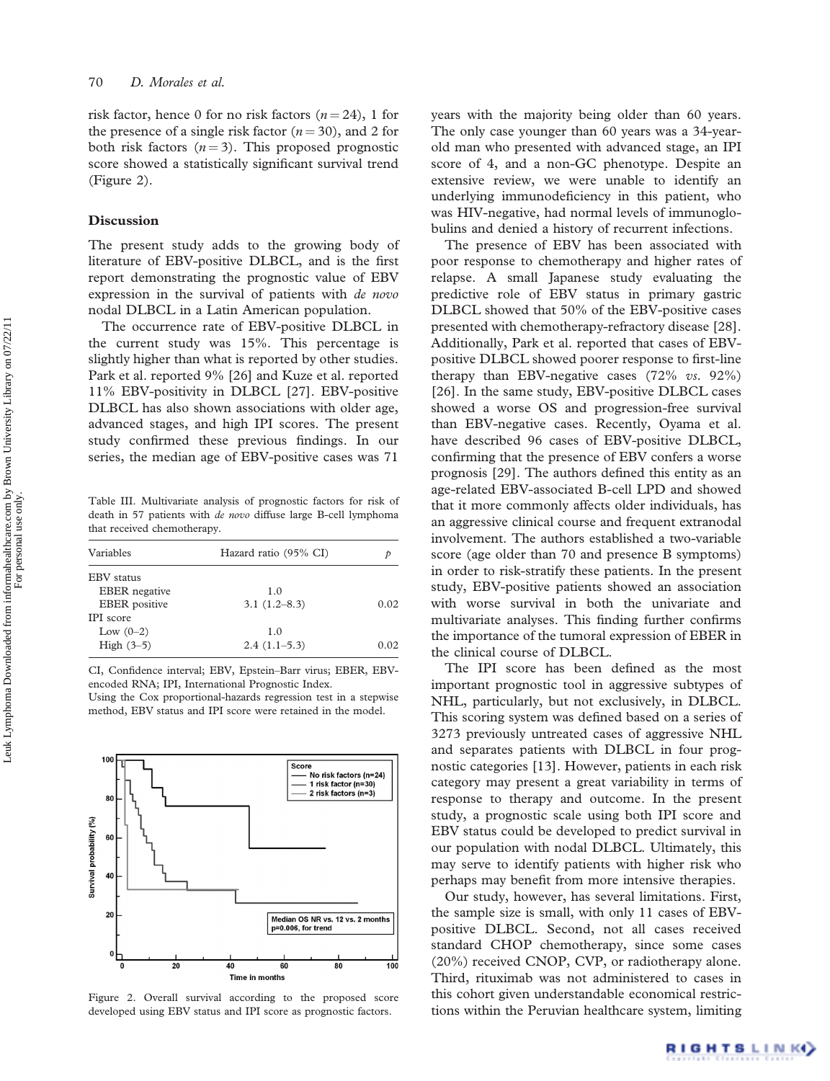risk factor, hence 0 for no risk factors  $(n=24)$ , 1 for the presence of a single risk factor  $(n = 30)$ , and 2 for both risk factors  $(n=3)$ . This proposed prognostic score showed a statistically significant survival trend (Figure 2).

# Discussion

The present study adds to the growing body of literature of EBV-positive DLBCL, and is the first report demonstrating the prognostic value of EBV expression in the survival of patients with *de novo* nodal DLBCL in a Latin American population.

The occurrence rate of EBV-positive DLBCL in the current study was 15%. This percentage is slightly higher than what is reported by other studies. Park et al. reported 9% [26] and Kuze et al. reported 11% EBV-positivity in DLBCL [27]. EBV-positive DLBCL has also shown associations with older age, advanced stages, and high IPI scores. The present study confirmed these previous findings. In our series, the median age of EBV-positive cases was 71

Table III. Multivariate analysis of prognostic factors for risk of death in 57 patients with de novo diffuse large B-cell lymphoma that received chemotherapy.

| Variables            | Hazard ratio (95% CI) |      |  |
|----------------------|-----------------------|------|--|
| EBV status           |                       |      |  |
| <b>EBER</b> negative | 1.0                   |      |  |
| <b>EBER</b> positive | $3.1(1.2-8.3)$        | 0.02 |  |
| <b>IPI</b> score     |                       |      |  |
| Low $(0-2)$          | 1.0                   |      |  |
| High $(3-5)$         | $2.4(1.1-5.3)$        | 0.02 |  |

CI, Confidence interval; EBV, Epstein–Barr virus; EBER, EBVencoded RNA; IPI, International Prognostic Index.

Using the Cox proportional-hazards regression test in a stepwise method, EBV status and IPI score were retained in the model.



Figure 2. Overall survival according to the proposed score developed using EBV status and IPI score as prognostic factors.

years with the majority being older than 60 years. The only case younger than 60 years was a 34-yearold man who presented with advanced stage, an IPI score of 4, and a non-GC phenotype. Despite an extensive review, we were unable to identify an underlying immunodeficiency in this patient, who was HIV-negative, had normal levels of immunoglobulins and denied a history of recurrent infections.

The presence of EBV has been associated with poor response to chemotherapy and higher rates of relapse. A small Japanese study evaluating the predictive role of EBV status in primary gastric DLBCL showed that 50% of the EBV-positive cases presented with chemotherapy-refractory disease [28]. Additionally, Park et al. reported that cases of EBVpositive DLBCL showed poorer response to first-line therapy than EBV-negative cases  $(72\% \ vs. \ 92\%)$ [26]. In the same study, EBV-positive DLBCL cases showed a worse OS and progression-free survival than EBV-negative cases. Recently, Oyama et al. have described 96 cases of EBV-positive DLBCL, confirming that the presence of EBV confers a worse prognosis [29]. The authors defined this entity as an age-related EBV-associated B-cell LPD and showed that it more commonly affects older individuals, has an aggressive clinical course and frequent extranodal involvement. The authors established a two-variable score (age older than 70 and presence B symptoms) in order to risk-stratify these patients. In the present study, EBV-positive patients showed an association with worse survival in both the univariate and multivariate analyses. This finding further confirms the importance of the tumoral expression of EBER in the clinical course of DLBCL.

The IPI score has been defined as the most important prognostic tool in aggressive subtypes of NHL, particularly, but not exclusively, in DLBCL. This scoring system was defined based on a series of 3273 previously untreated cases of aggressive NHL and separates patients with DLBCL in four prognostic categories [13]. However, patients in each risk category may present a great variability in terms of response to therapy and outcome. In the present study, a prognostic scale using both IPI score and EBV status could be developed to predict survival in our population with nodal DLBCL. Ultimately, this may serve to identify patients with higher risk who perhaps may benefit from more intensive therapies.

Our study, however, has several limitations. First, the sample size is small, with only 11 cases of EBVpositive DLBCL. Second, not all cases received standard CHOP chemotherapy, since some cases (20%) received CNOP, CVP, or radiotherapy alone. Third, rituximab was not administered to cases in this cohort given understandable economical restrictions within the Peruvian healthcare system, limiting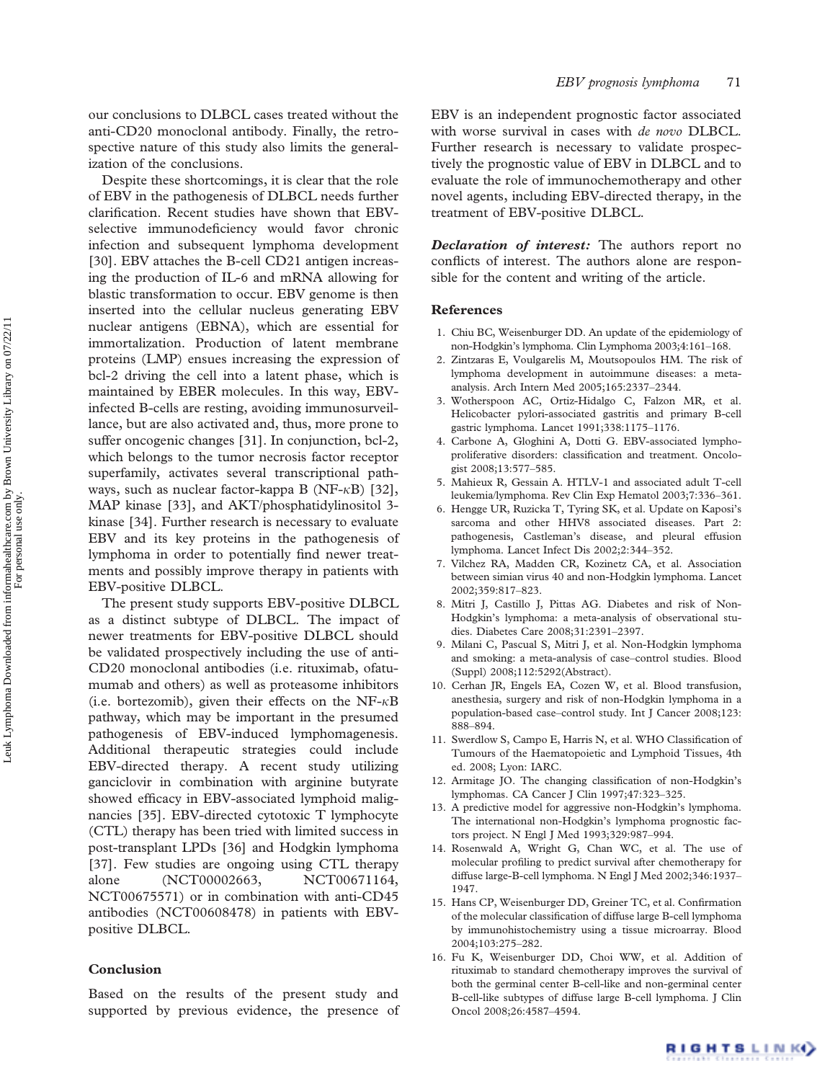our conclusions to DLBCL cases treated without the anti-CD20 monoclonal antibody. Finally, the retrospective nature of this study also limits the generalization of the conclusions.

Despite these shortcomings, it is clear that the role of EBV in the pathogenesis of DLBCL needs further clarification. Recent studies have shown that EBVselective immunodeficiency would favor chronic infection and subsequent lymphoma development [30]. EBV attaches the B-cell CD21 antigen increasing the production of IL-6 and mRNA allowing for blastic transformation to occur. EBV genome is then inserted into the cellular nucleus generating EBV nuclear antigens (EBNA), which are essential for immortalization. Production of latent membrane proteins (LMP) ensues increasing the expression of bcl-2 driving the cell into a latent phase, which is maintained by EBER molecules. In this way, EBVinfected B-cells are resting, avoiding immunosurveillance, but are also activated and, thus, more prone to suffer oncogenic changes [31]. In conjunction, bcl-2, which belongs to the tumor necrosis factor receptor superfamily, activates several transcriptional pathways, such as nuclear factor-kappa B (NF- $\kappa$ B) [32], MAP kinase [33], and AKT/phosphatidylinositol 3 kinase [34]. Further research is necessary to evaluate EBV and its key proteins in the pathogenesis of lymphoma in order to potentially find newer treatments and possibly improve therapy in patients with EBV-positive DLBCL.

The present study supports EBV-positive DLBCL as a distinct subtype of DLBCL. The impact of newer treatments for EBV-positive DLBCL should be validated prospectively including the use of anti-CD20 monoclonal antibodies (i.e. rituximab, ofatumumab and others) as well as proteasome inhibitors (i.e. bortezomib), given their effects on the  $NF-\kappa B$ pathway, which may be important in the presumed pathogenesis of EBV-induced lymphomagenesis. Additional therapeutic strategies could include EBV-directed therapy. A recent study utilizing ganciclovir in combination with arginine butyrate showed efficacy in EBV-associated lymphoid malignancies [35]. EBV-directed cytotoxic T lymphocyte (CTL) therapy has been tried with limited success in post-transplant LPDs [36] and Hodgkin lymphoma [37]. Few studies are ongoing using CTL therapy alone (NCT00002663, NCT00671164, NCT00675571) or in combination with anti-CD45 antibodies (NCT00608478) in patients with EBVpositive DLBCL.

# Conclusion

Based on the results of the present study and supported by previous evidence, the presence of EBV is an independent prognostic factor associated with worse survival in cases with de novo DLBCL. Further research is necessary to validate prospectively the prognostic value of EBV in DLBCL and to evaluate the role of immunochemotherapy and other novel agents, including EBV-directed therapy, in the treatment of EBV-positive DLBCL.

Declaration of interest: The authors report no conflicts of interest. The authors alone are responsible for the content and writing of the article.

#### References

- 1. Chiu BC, Weisenburger DD. An update of the epidemiology of non-Hodgkin's lymphoma. Clin Lymphoma 2003;4:161–168.
- 2. Zintzaras E, Voulgarelis M, Moutsopoulos HM. The risk of lymphoma development in autoimmune diseases: a metaanalysis. Arch Intern Med 2005;165:2337–2344.
- 3. Wotherspoon AC, Ortiz-Hidalgo C, Falzon MR, et al. Helicobacter pylori-associated gastritis and primary B-cell gastric lymphoma. Lancet 1991;338:1175–1176.
- 4. Carbone A, Gloghini A, Dotti G. EBV-associated lymphoproliferative disorders: classification and treatment. Oncologist 2008;13:577–585.
- 5. Mahieux R, Gessain A. HTLV-1 and associated adult T-cell leukemia/lymphoma. Rev Clin Exp Hematol 2003;7:336–361.
- 6. Hengge UR, Ruzicka T, Tyring SK, et al. Update on Kaposi's sarcoma and other HHV8 associated diseases. Part 2: pathogenesis, Castleman's disease, and pleural effusion lymphoma. Lancet Infect Dis 2002;2:344–352.
- 7. Vilchez RA, Madden CR, Kozinetz CA, et al. Association between simian virus 40 and non-Hodgkin lymphoma. Lancet 2002;359:817–823.
- 8. Mitri J, Castillo J, Pittas AG. Diabetes and risk of Non-Hodgkin's lymphoma: a meta-analysis of observational studies. Diabetes Care 2008;31:2391–2397.
- 9. Milani C, Pascual S, Mitri J, et al. Non-Hodgkin lymphoma and smoking: a meta-analysis of case–control studies. Blood (Suppl) 2008;112:5292(Abstract).
- 10. Cerhan JR, Engels EA, Cozen W, et al. Blood transfusion, anesthesia, surgery and risk of non-Hodgkin lymphoma in a population-based case–control study. Int J Cancer 2008;123: 888–894.
- 11. Swerdlow S, Campo E, Harris N, et al. WHO Classification of Tumours of the Haematopoietic and Lymphoid Tissues, 4th ed. 2008; Lyon: IARC.
- 12. Armitage JO. The changing classification of non-Hodgkin's lymphomas. CA Cancer J Clin 1997;47:323–325.
- 13. A predictive model for aggressive non-Hodgkin's lymphoma. The international non-Hodgkin's lymphoma prognostic factors project. N Engl J Med 1993;329:987–994.
- 14. Rosenwald A, Wright G, Chan WC, et al. The use of molecular profiling to predict survival after chemotherapy for diffuse large-B-cell lymphoma. N Engl J Med 2002;346:1937– 1947.
- 15. Hans CP, Weisenburger DD, Greiner TC, et al. Confirmation of the molecular classification of diffuse large B-cell lymphoma by immunohistochemistry using a tissue microarray. Blood 2004;103:275–282.
- 16. Fu K, Weisenburger DD, Choi WW, et al. Addition of rituximab to standard chemotherapy improves the survival of both the germinal center B-cell-like and non-germinal center B-cell-like subtypes of diffuse large B-cell lymphoma. J Clin Oncol 2008;26:4587–4594.